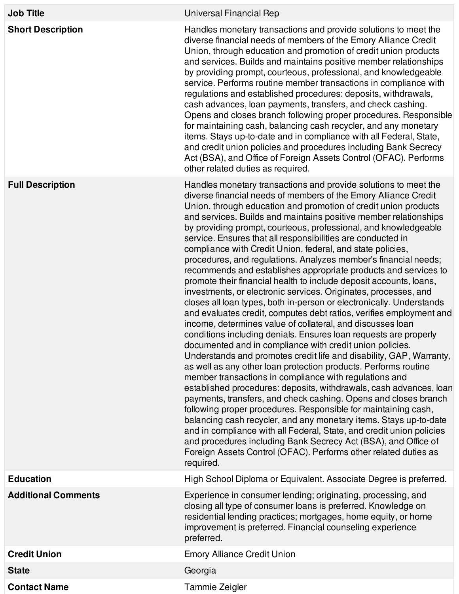| <b>Job Title</b>           | Universal Financial Rep                                                                                                                                                                                                                                                                                                                                                                                                                                                                                                                                                                                                                                                                                                                                                                                                                                                                                                                                                                                                                                                                                                                                                                                                                                                                                                                                                                                                                                                                                                                                                                                                                                                                                                                                                                                             |
|----------------------------|---------------------------------------------------------------------------------------------------------------------------------------------------------------------------------------------------------------------------------------------------------------------------------------------------------------------------------------------------------------------------------------------------------------------------------------------------------------------------------------------------------------------------------------------------------------------------------------------------------------------------------------------------------------------------------------------------------------------------------------------------------------------------------------------------------------------------------------------------------------------------------------------------------------------------------------------------------------------------------------------------------------------------------------------------------------------------------------------------------------------------------------------------------------------------------------------------------------------------------------------------------------------------------------------------------------------------------------------------------------------------------------------------------------------------------------------------------------------------------------------------------------------------------------------------------------------------------------------------------------------------------------------------------------------------------------------------------------------------------------------------------------------------------------------------------------------|
| <b>Short Description</b>   | Handles monetary transactions and provide solutions to meet the<br>diverse financial needs of members of the Emory Alliance Credit<br>Union, through education and promotion of credit union products<br>and services. Builds and maintains positive member relationships<br>by providing prompt, courteous, professional, and knowledgeable<br>service. Performs routine member transactions in compliance with<br>regulations and established procedures: deposits, withdrawals,<br>cash advances, loan payments, transfers, and check cashing.<br>Opens and closes branch following proper procedures. Responsible<br>for maintaining cash, balancing cash recycler, and any monetary<br>items. Stays up-to-date and in compliance with all Federal, State,<br>and credit union policies and procedures including Bank Secrecy<br>Act (BSA), and Office of Foreign Assets Control (OFAC). Performs<br>other related duties as required.                                                                                                                                                                                                                                                                                                                                                                                                                                                                                                                                                                                                                                                                                                                                                                                                                                                                          |
| <b>Full Description</b>    | Handles monetary transactions and provide solutions to meet the<br>diverse financial needs of members of the Emory Alliance Credit<br>Union, through education and promotion of credit union products<br>and services. Builds and maintains positive member relationships<br>by providing prompt, courteous, professional, and knowledgeable<br>service. Ensures that all responsibilities are conducted in<br>compliance with Credit Union, federal, and state policies,<br>procedures, and regulations. Analyzes member's financial needs;<br>recommends and establishes appropriate products and services to<br>promote their financial health to include deposit accounts, loans,<br>investments, or electronic services. Originates, processes, and<br>closes all loan types, both in-person or electronically. Understands<br>and evaluates credit, computes debt ratios, verifies employment and<br>income, determines value of collateral, and discusses loan<br>conditions including denials. Ensures loan requests are properly<br>documented and in compliance with credit union policies.<br>Understands and promotes credit life and disability, GAP, Warranty,<br>as well as any other loan protection products. Performs routine<br>member transactions in compliance with regulations and<br>established procedures: deposits, withdrawals, cash advances, loan<br>payments, transfers, and check cashing. Opens and closes branch<br>following proper procedures. Responsible for maintaining cash,<br>balancing cash recycler, and any monetary items. Stays up-to-date<br>and in compliance with all Federal, State, and credit union policies<br>and procedures including Bank Secrecy Act (BSA), and Office of<br>Foreign Assets Control (OFAC). Performs other related duties as<br>required. |
| <b>Education</b>           | High School Diploma or Equivalent. Associate Degree is preferred.                                                                                                                                                                                                                                                                                                                                                                                                                                                                                                                                                                                                                                                                                                                                                                                                                                                                                                                                                                                                                                                                                                                                                                                                                                                                                                                                                                                                                                                                                                                                                                                                                                                                                                                                                   |
| <b>Additional Comments</b> | Experience in consumer lending; originating, processing, and<br>closing all type of consumer loans is preferred. Knowledge on<br>residential lending practices; mortgages, home equity, or home<br>improvement is preferred. Financial counseling experience<br>preferred.                                                                                                                                                                                                                                                                                                                                                                                                                                                                                                                                                                                                                                                                                                                                                                                                                                                                                                                                                                                                                                                                                                                                                                                                                                                                                                                                                                                                                                                                                                                                          |
| <b>Credit Union</b>        | <b>Emory Alliance Credit Union</b>                                                                                                                                                                                                                                                                                                                                                                                                                                                                                                                                                                                                                                                                                                                                                                                                                                                                                                                                                                                                                                                                                                                                                                                                                                                                                                                                                                                                                                                                                                                                                                                                                                                                                                                                                                                  |
| <b>State</b>               | Georgia                                                                                                                                                                                                                                                                                                                                                                                                                                                                                                                                                                                                                                                                                                                                                                                                                                                                                                                                                                                                                                                                                                                                                                                                                                                                                                                                                                                                                                                                                                                                                                                                                                                                                                                                                                                                             |
| <b>Contact Name</b>        | Tammie Zeigler                                                                                                                                                                                                                                                                                                                                                                                                                                                                                                                                                                                                                                                                                                                                                                                                                                                                                                                                                                                                                                                                                                                                                                                                                                                                                                                                                                                                                                                                                                                                                                                                                                                                                                                                                                                                      |